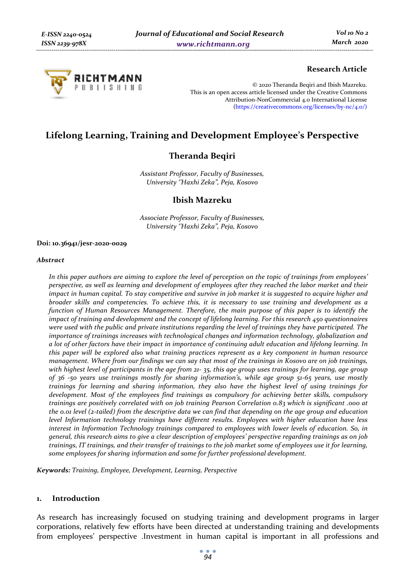

### **Research Article**

© 2020 Theranda Beqiri and Ibish Mazreku. This is an open access article licensed under the Creative Commons Attribution-NonCommercial 4.0 International License (https://creativecommons.org/licenses/by-nc/4.0/)

# **Lifelong Learning, Training and Development Employee's Perspective**

# **Theranda Beqiri**

*Assistant Professor, Faculty of Businesses, University ''Haxhi Zeka", Peja, Kosovo* 

## **Ibish Mazreku**

*Associate Professor, Faculty of Businesses, University ''Haxhi Zeka", Peja, Kosovo* 

#### **Doi: 10.36941/jesr-2020-0029**

#### *Abstract*

*In this paper authors are aiming to explore the level of perception on the topic of trainings from employees' perspective, as well as learning and development of employees after they reached the labor market and their impact in human capital. To stay competitive and survive in job market it is suggested to acquire higher and broader skills and competencies. To achieve this, it is necessary to use training and development as a function of Human Resources Management. Therefore, the main purpose of this paper is to identify the impact of training and development and the concept of lifelong learning. For this research 450 questionnaires were used with the public and private institutions regarding the level of trainings they have participated. The importance of trainings increases with technological changes and information technology, globalization and a lot of other factors have their impact in importance of continuing adult education and lifelong learning. In this paper will be explored also what training practices represent as a key component in human resource management. Where from our findings we can say that most of the trainings in Kosovo are on job trainings,*  with highest level of participants in the age from 21- 35, this age group uses trainings for learning, age group *of 36 -50 years use trainings mostly for sharing information's, while age group 51-65 years, use mostly trainings for learning and sharing information, they also have the highest level of using trainings for development. Most of the employees find trainings as compulsory for achieving better skills, compulsory trainings are positively correlated with on job training Pearson Correlation 0.83 which is significant .000 at the 0.01 level (2-tailed) from the descriptive data we can find that depending on the age group and education level Information technology trainings have different results. Employees with higher education have less interest in Information Technology trainings compared to employees with lower levels of education. So, in general, this research aims to give a clear description of employees' perspective regarding trainings as on job trainings, IT trainings, and their transfer of trainings to the job market some of employees use it for learning, some employees for sharing information and some for further professional development.* 

*Keywords: Training, Employee, Development, Learning, Perspective* 

### **1. Introduction**

As research has increasingly focused on studying training and development programs in larger corporations, relatively few efforts have been directed at understanding training and developments from employees' perspective .Investment in human capital is important in all professions and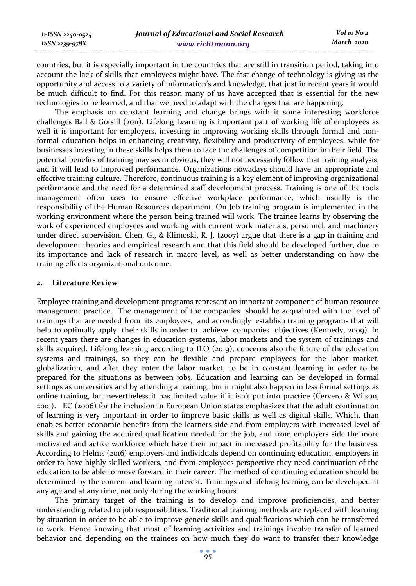| E-ISSN 2240-0524    | Journal of Educational and Social Research | Vol 10 No 2 |
|---------------------|--------------------------------------------|-------------|
| $ISSN$ 2239-97 $8X$ | www.richtmann.org                          | March 2020  |

countries, but it is especially important in the countries that are still in transition period, taking into account the lack of skills that employees might have. The fast change of technology is giving us the opportunity and access to a variety of information's and knowledge, that just in recent years it would be much difficult to find. For this reason many of us have accepted that is essential for the new technologies to be learned, and that we need to adapt with the changes that are happening.

The emphasis on constant learning and change brings with it some interesting workforce challenges Ball & Gotsill (2011). Lifelong Learning is important part of working life of employees as well it is important for employers, investing in improving working skills through formal and nonformal education helps in enhancing creativity, flexibility and productivity of employees, while for businesses investing in these skills helps them to face the challenges of competition in their field. The potential benefits of training may seem obvious, they will not necessarily follow that training analysis, and it will lead to improved performance. Organizations nowadays should have an appropriate and effective training culture. Therefore, continuous training is a key element of improving organizational performance and the need for a determined staff development process. Training is one of the tools management often uses to ensure effective workplace performance, which usually is the responsibility of the Human Resources department. On Job training program is implemented in the working environment where the person being trained will work. The trainee learns by observing the work of experienced employees and working with current work materials, personnel, and machinery under direct supervision. Chen, G., & Klimoski, R. J. (2007) argue that there is a gap in training and development theories and empirical research and that this field should be developed further, due to its importance and lack of research in macro level, as well as better understanding on how the training effects organizational outcome.

#### **2. Literature Review**

Employee training and development programs represent an important component of human resource management practice. The management of the companies should be acquainted with the level of trainings that are needed from its employees, and accordingly establish training programs that will help to optimally apply their skills in order to achieve companies objectives (Kennedy, 2009). In recent years there are changes in education systems, labor markets and the system of trainings and skills acquired. Lifelong learning according to ILO (2019), concerns also the future of the education systems and trainings, so they can be flexible and prepare employees for the labor market, globalization, and after they enter the labor market, to be in constant learning in order to be prepared for the situations as between jobs. Education and learning can be developed in formal settings as universities and by attending a training, but it might also happen in less formal settings as online training, but nevertheless it has limited value if it isn't put into practice (Cervero & Wilson, 2001). EC (2006) for the inclusion in European Union states emphasizes that the adult continuation of learning is very important in order to improve basic skills as well as digital skills. Which, than enables better economic benefits from the learners side and from employers with increased level of skills and gaining the acquired qualification needed for the job, and from employers side the more motivated and active workforce which have their impact in increased profitability for the business. According to Helms (2016) employers and individuals depend on continuing education, employers in order to have highly skilled workers, and from employees perspective they need continuation of the education to be able to move forward in their career. The method of continuing education should be determined by the content and learning interest. Trainings and lifelong learning can be developed at any age and at any time, not only during the working hours.

The primary target of the training is to develop and improve proficiencies, and better understanding related to job responsibilities. Traditional training methods are replaced with learning by situation in order to be able to improve generic skills and qualifications which can be transferred to work. Hence knowing that most of learning activities and trainings involve transfer of learned behavior and depending on the trainees on how much they do want to transfer their knowledge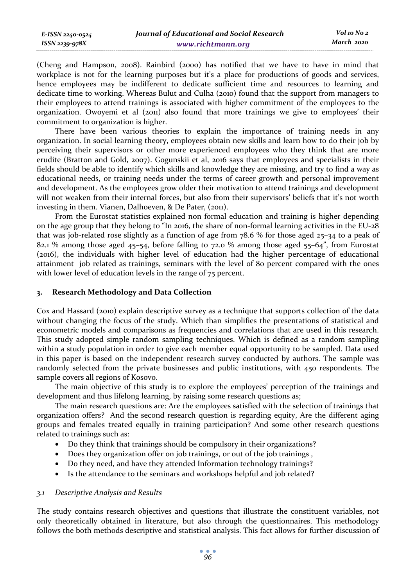*March 2020*

(Cheng and Hampson, 2008). Rainbird (2000) has notified that we have to have in mind that workplace is not for the learning purposes but it's a place for productions of goods and services, hence employees may be indifferent to dedicate sufficient time and resources to learning and dedicate time to working. Whereas Bulut and Culha (2010) found that the support from managers to their employees to attend trainings is associated with higher commitment of the employees to the organization. Owoyemi et al (2011) also found that more trainings we give to employees' their commitment to organization is higher.

There have been various theories to explain the importance of training needs in any organization. In social learning theory, employees obtain new skills and learn how to do their job by perceiving their supervisors or other more experienced employees who they think that are more erudite (Bratton and Gold, 2007). Gogunskii et al, 2016 says that employees and specialists in their fields should be able to identify which skills and knowledge they are missing, and try to find a way as educational needs, or training needs under the terms of career growth and personal improvement and development. As the employees grow older their motivation to attend trainings and development will not weaken from their internal forces, but also from their supervisors' beliefs that it's not worth investing in them. Vianen, Dalhoeven, & De Pater, (2011).

From the Eurostat statistics explained non formal education and training is higher depending on the age group that they belong to "In 2016, the share of non-formal learning activities in the EU-28 that was job-related rose slightly as a function of age from 78.6 % for those aged 25–34 to a peak of 82.1 % among those aged 45–54, before falling to 72.0 % among those aged 55–64", from Eurostat (2016), the individuals with higher level of education had the higher percentage of educational attainment job related as trainings, seminars with the level of 80 percent compared with the ones with lower level of education levels in the range of 75 percent.

### **3. Research Methodology and Data Collection**

Cox and Hassard (2010) explain descriptive survey as a technique that supports collection of the data without changing the focus of the study. Which than simplifies the presentations of statistical and econometric models and comparisons as frequencies and correlations that are used in this research. This study adopted simple random sampling techniques. Which is defined as a random sampling within a study population in order to give each member equal opportunity to be sampled. Data used in this paper is based on the independent research survey conducted by authors. The sample was randomly selected from the private businesses and public institutions, with 450 respondents. The sample covers all regions of Kosovo.

The main objective of this study is to explore the employees' perception of the trainings and development and thus lifelong learning, by raising some research questions as;

The main research questions are: Are the employees satisfied with the selection of trainings that organization offers? And the second research question is regarding equity, Are the different aging groups and females treated equally in training participation? And some other research questions related to trainings such as:

- Do they think that trainings should be compulsory in their organizations?
- Does they organization offer on job trainings, or out of the job trainings ,
- Do they need, and have they attended Information technology trainings?
- Is the attendance to the seminars and workshops helpful and job related?

### *3.1 Descriptive Analysis and Results*

The study contains research objectives and questions that illustrate the constituent variables, not only theoretically obtained in literature, but also through the questionnaires. This methodology follows the both methods descriptive and statistical analysis. This fact allows for further discussion of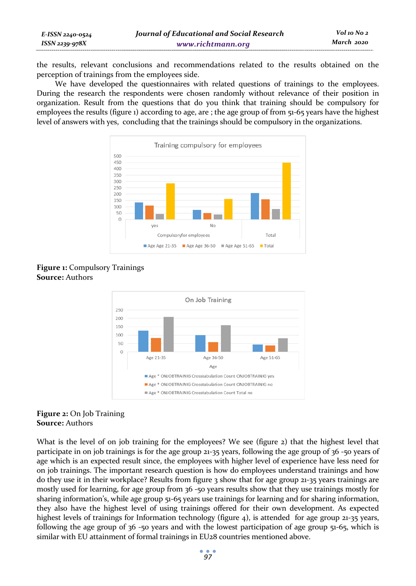the results, relevant conclusions and recommendations related to the results obtained on the perception of trainings from the employees side.

We have developed the questionnaires with related questions of trainings to the employees. During the research the respondents were chosen randomly without relevance of their position in organization. Result from the questions that do you think that training should be compulsory for employees the results (figure 1) according to age, are ; the age group of from 51-65 years have the highest level of answers with yes, concluding that the trainings should be compulsory in the organizations.



**Figure 1:** Compulsory Trainings **Source:** Authors



## **Figure 2:** On Job Training **Source:** Authors

What is the level of on job training for the employees? We see (figure 2) that the highest level that participate in on job trainings is for the age group 21-35 years, following the age group of 36 -50 years of age which is an expected result since, the employees with higher level of experience have less need for on job trainings. The important research question is how do employees understand trainings and how do they use it in their workplace? Results from figure 3 show that for age group 21-35 years trainings are mostly used for learning, for age group from 36 -50 years results show that they use trainings mostly for sharing information's, while age group 51-65 years use trainings for learning and for sharing information, they also have the highest level of using trainings offered for their own development. As expected highest levels of trainings for Information technology (figure 4), is attended for age group 21-35 years, following the age group of 36 -50 years and with the lowest participation of age group 51-65, which is similar with EU attainment of formal trainings in EU28 countries mentioned above.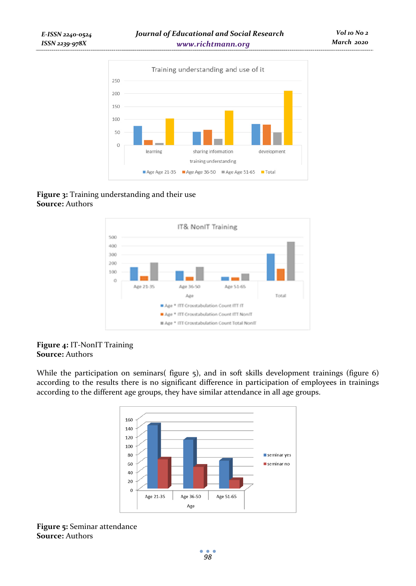

# **Figure 3:** Training understanding and their use **Source:** Authors



### **Figure 4:** IT-NonIT Training **Source:** Authors

While the participation on seminars( figure 5), and in soft skills development trainings (figure 6) according to the results there is no significant difference in participation of employees in trainings according to the different age groups, they have similar attendance in all age groups.



## **Figure 5:** Seminar attendance **Source:** Authors

- 0 *98*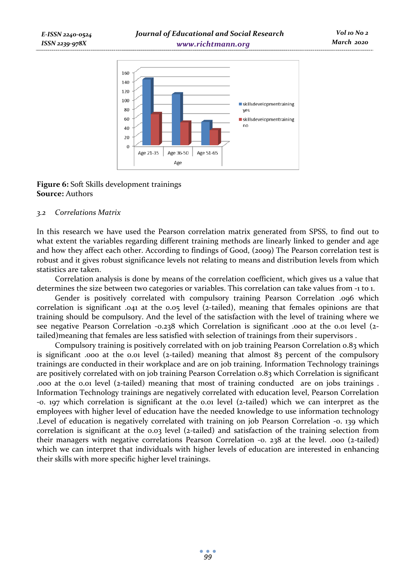

## **Figure 6:** Soft Skills development trainings **Source:** Authors

### *3.2 Correlations Matrix*

In this research we have used the Pearson correlation matrix generated from SPSS, to find out to what extent the variables regarding different training methods are linearly linked to gender and age and how they affect each other. According to findings of Good, (2009) The Pearson correlation test is robust and it gives robust significance levels not relating to means and distribution levels from which statistics are taken.

Correlation analysis is done by means of the correlation coefficient, which gives us a value that determines the size between two categories or variables. This correlation can take values from -1 to 1.

Gender is positively correlated with compulsory training Pearson Correlation .096 which correlation is significant .041 at the 0.05 level (2-tailed), meaning that females opinions are that training should be compulsory. And the level of the satisfaction with the level of training where we see negative Pearson Correlation -0.238 which Correlation is significant .000 at the 0.01 level (2 tailed)meaning that females are less satisfied with selection of trainings from their supervisors .

Compulsory training is positively correlated with on job training Pearson Correlation 0.83 which is significant .000 at the 0.01 level (2-tailed) meaning that almost  $8<sub>3</sub>$  percent of the compulsory trainings are conducted in their workplace and are on job training. Information Technology trainings are positively correlated with on job training Pearson Correlation 0.83 which Correlation is significant .000 at the 0.01 level (2-tailed) meaning that most of training conducted are on jobs trainings . Information Technology trainings are negatively correlated with education level, Pearson Correlation -0. 197 which correlation is significant at the 0.01 level (2-tailed) which we can interpret as the employees with higher level of education have the needed knowledge to use information technology .Level of education is negatively correlated with training on job Pearson Correlation -0. 139 which correlation is significant at the 0.03 level (2-tailed) and satisfaction of the training selection from their managers with negative correlations Pearson Correlation -0. 238 at the level. .000 (2-tailed) which we can interpret that individuals with higher levels of education are interested in enhancing their skills with more specific higher level trainings.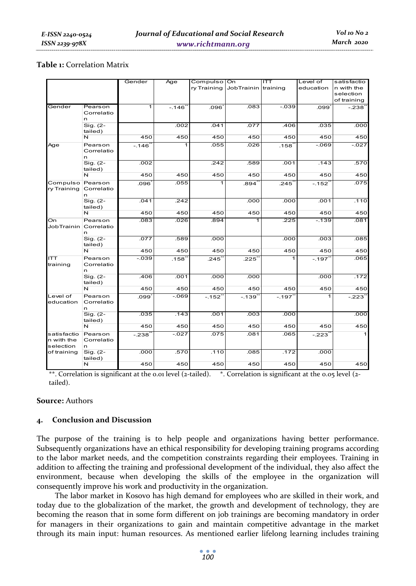### **Table 1:** Correlation Matrix

|                           |             | Gender  | Age     | Compulso On |                     | ITT     | Level of  | satisfactio |
|---------------------------|-------------|---------|---------|-------------|---------------------|---------|-----------|-------------|
|                           |             |         |         | ry Training | JobTrainin training |         | education | n with the  |
|                           |             |         |         |             |                     |         |           | selection   |
|                           |             |         |         |             |                     |         |           | of training |
| Gender                    | Pearson     | 1       | $-.146$ | 096.        | .083                | $-0.39$ | .099      | $-.238$     |
|                           | Correlatio  |         |         |             |                     |         |           |             |
|                           | n           |         |         |             |                     |         |           |             |
|                           | Sig. (2-    |         | .002    | .041        | .077                | .406    | .035      | .000        |
|                           | tailed)     |         |         |             |                     |         |           |             |
|                           | N           | 450     | 450     | 450         | 450                 | 450     | 450       | 450         |
| Age                       | Pearson     | $-.146$ | 1       | .055        | .026                | .158    | $-069$    | $-027$      |
|                           | Correlatio  |         |         |             |                     |         |           |             |
|                           | n           |         |         |             |                     |         |           |             |
|                           | Sig. (2-    | .002    |         | .242        | .589                | .001    | .143      | .570        |
|                           | tailed)     |         |         |             |                     |         |           |             |
|                           | N           | 450     | 450     | 450         | 450                 | 450     | 450       | 450         |
| Compulso                  | Pearson     | .096    | .055    |             | .894                | .245    | $-.152$   | .075        |
| ry Training               | Correlatio  |         |         |             |                     |         |           |             |
|                           | n           |         |         |             |                     |         |           |             |
|                           | Sig. (2-    | .041    | .242    |             | .000                | .000    | .001      | .110        |
|                           | tailed)     |         |         |             |                     |         |           |             |
|                           | $\mathbf N$ | 450     | 450     | 450         | 450                 | 450     | 450       | 450         |
| On                        | Pearson     | .083    | .026    | .894        | 1                   | .225    | $-139$    | .081        |
| JobTrainin                | Correlatio  |         |         |             |                     |         |           |             |
|                           | n           |         |         |             |                     |         |           |             |
|                           | Sig. (2-    | .077    | .589    | .000        |                     | .000    | .003      | .085        |
|                           | tailed)     |         |         |             |                     |         |           |             |
|                           | N           | 450     | 450     | 450         | 450                 | 450     | 450       | 450         |
| <b>ITT</b>                | Pearson     | $-0.39$ | .158    | .245        | .225                | 1       | $-.197$   | .065        |
| training                  | Correlatio  |         |         |             |                     |         |           |             |
|                           | n           |         |         |             |                     |         |           |             |
|                           | Sig. (2-    | .406    | .001    | .000        | .000                |         | .000      | .172        |
|                           | tailed)     |         |         |             |                     |         |           |             |
|                           | N           | 450     | 450     | 450         | 450                 | 450     | 450       | 450         |
| Level of                  | Pearson     | .099    | $-069$  | $-.152'$    | $-.139$             | $-.197$ | 1         | $-.223'$    |
| education                 | Correlatio  |         |         |             |                     |         |           |             |
|                           | n           |         |         |             |                     |         |           |             |
|                           | Sig. (2-    | .035    | .143    | .001        | .003                | .000    |           | .000        |
|                           | tailed)     |         |         |             |                     |         |           |             |
|                           | N           | 450     | 450     | 450         | 450                 | 450     | 450       | 450         |
| satisfactio<br>n with the | Pearson     | $-.238$ | $-027$  | .075        | .081                | .065    | $-.223$   | 1           |
|                           | Correlatio  |         |         |             |                     |         |           |             |
| selection                 | n.          |         |         |             |                     |         |           |             |
| of training               | Sig. (2-    | .000    | .570    | .110        | .085                | .172    | .000      |             |
|                           | tailed)     |         |         |             |                     |         |           |             |
|                           | N           | 450     | 450     | 450         | 450                 | 450     | 450       | 450         |

\*\*. Correlation is significant at the 0.01 level (2-tailed). \*. Correlation is significant at the 0.05 level (2tailed).

### **Source:** Authors

### **4. Conclusion and Discussion**

The purpose of the training is to help people and organizations having better performance. Subsequently organizations have an ethical responsibility for developing training programs according to the labor market needs, and the competition constraints regarding their employees. Training in addition to affecting the training and professional development of the individual, they also affect the environment, because when developing the skills of the employee in the organization will consequently improve his work and productivity in the organization.

The labor market in Kosovo has high demand for employees who are skilled in their work, and today due to the globalization of the market, the growth and development of technology, they are becoming the reason that in some form different on job trainings are becoming mandatory in order for managers in their organizations to gain and maintain competitive advantage in the market through its main input: human resources. As mentioned earlier lifelong learning includes training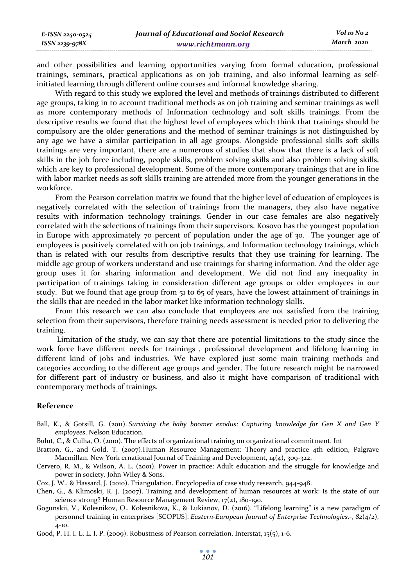and other possibilities and learning opportunities varying from formal education, professional trainings, seminars, practical applications as on job training, and also informal learning as selfinitiated learning through different online courses and informal knowledge sharing.

With regard to this study we explored the level and methods of trainings distributed to different age groups, taking in to account traditional methods as on job training and seminar trainings as well as more contemporary methods of Information technology and soft skills trainings. From the descriptive results we found that the highest level of employees which think that trainings should be compulsory are the older generations and the method of seminar trainings is not distinguished by any age we have a similar participation in all age groups. Alongside professional skills soft skills trainings are very important, there are a numerous of studies that show that there is a lack of soft skills in the job force including, people skills, problem solving skills and also problem solving skills, which are key to professional development. Some of the more contemporary trainings that are in line with labor market needs as soft skills training are attended more from the younger generations in the workforce.

From the Pearson correlation matrix we found that the higher level of education of employees is negatively correlated with the selection of trainings from the managers, they also have negative results with information technology trainings. Gender in our case females are also negatively correlated with the selections of trainings from their supervisors. Kosovo has the youngest population in Europe with approximately 70 percent of population under the age of 30. The younger age of employees is positively correlated with on job trainings, and Information technology trainings, which than is related with our results from descriptive results that they use training for learning. The middle age group of workers understand and use trainings for sharing information. And the older age group uses it for sharing information and development. We did not find any inequality in participation of trainings taking in consideration different age groups or older employees in our study. But we found that age group from 51 to 65 of years, have the lowest attainment of trainings in the skills that are needed in the labor market like information technology skills.

From this research we can also conclude that employees are not satisfied from the training selection from their supervisors, therefore training needs assessment is needed prior to delivering the training.

 Limitation of the study, we can say that there are potential limitations to the study since the work force have different needs for trainings , professional development and lifelong learning in different kind of jobs and industries. We have explored just some main training methods and categories according to the different age groups and gender. The future research might be narrowed for different part of industry or business, and also it might have comparison of traditional with contemporary methods of trainings.

### **Reference**

- Ball, K., & Gotsill, G. (2011). *Surviving the baby boomer exodus: Capturing knowledge for Gen X and Gen Y employees*. Nelson Education.
- Bulut, C., & Culha, O. (2010). The effects of organizational training on organizational commitment. Int
- Bratton, G., and Gold, T. (2007).Human Resource Management: Theory and practice 4th edition, Palgrave Macmillan. New York ernational Journal of Training and Development, 14(4), 309-322.
- Cervero, R. M., & Wilson, A. L. (2001). Power in practice: Adult education and the struggle for knowledge and power in society. John Wiley & Sons.
- Cox, J. W., & Hassard, J. (2010). Triangulation. Encyclopedia of case study research, 944-948.
- Chen, G., & Klimoski, R. J. (2007). Training and development of human resources at work: Is the state of our science strong? Human Resource Management Review, 17(2), 180-190.
- Gogunskii, V., Kolesnikov, O., Kolesnikova, K., & Lukianov, D. (2016). "Lifelong learning" is a new paradigm of personnel training in enterprises [SCOPUS]. *Eastern-European Journal of Enterprise Technologies.-*, *82*(4/2),  $4 - 10$ .

Good, P. H. I. L. L. I. P. (2009). Robustness of Pearson correlation. Interstat, 15(5), 1-6.